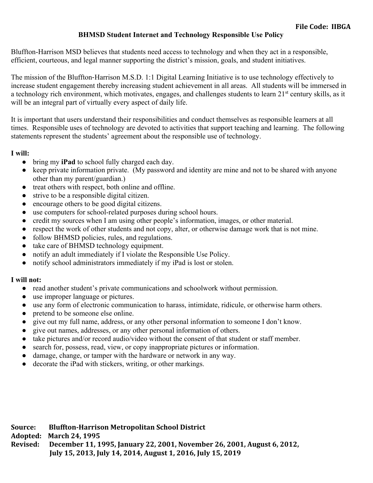#### **BHMSD Student Internet and Technology Responsible Use Policy**

Bluffton-Harrison MSD believes that students need access to technology and when they act in a responsible, efficient, courteous, and legal manner supporting the district's mission, goals, and student initiatives.

The mission of the Bluffton-Harrison M.S.D. 1:1 Digital Learning Initiative is to use technology effectively to increase student engagement thereby increasing student achievement in all areas. All students will be immersed in a technology rich environment, which motivates, engages, and challenges students to learn 21<sup>st</sup> century skills, as it will be an integral part of virtually every aspect of daily life.

It is important that users understand their responsibilities and conduct themselves as responsible learners at all times. Responsible uses of technology are devoted to activities that support teaching and learning. The following statements represent the students' agreement about the responsible use of technology.

#### **I will:**

- bring my **iPad** to school fully charged each day.
- keep private information private. (My password and identity are mine and not to be shared with anyone other than my parent/guardian.)
- treat others with respect, both online and offline.
- strive to be a responsible digital citizen.
- encourage others to be good digital citizens.
- use computers for school-related purposes during school hours.
- credit my sources when I am using other people's information, images, or other material.
- respect the work of other students and not copy, alter, or otherwise damage work that is not mine.
- follow BHMSD policies, rules, and regulations.
- take care of BHMSD technology equipment.
- notify an adult immediately if I violate the Responsible Use Policy.
- notify school administrators immediately if my iPad is lost or stolen.

#### **I will not:**

- read another student's private communications and schoolwork without permission.
- use improper language or pictures.
- use any form of electronic communication to harass, intimidate, ridicule, or otherwise harm others.
- pretend to be someone else online.
- give out my full name, address, or any other personal information to someone I don't know.
- give out names, addresses, or any other personal information of others.
- take pictures and/or record audio/video without the consent of that student or staff member.
- search for, possess, read, view, or copy inappropriate pictures or information.
- damage, change, or tamper with the hardware or network in any way.
- decorate the iPad with stickers, writing, or other markings.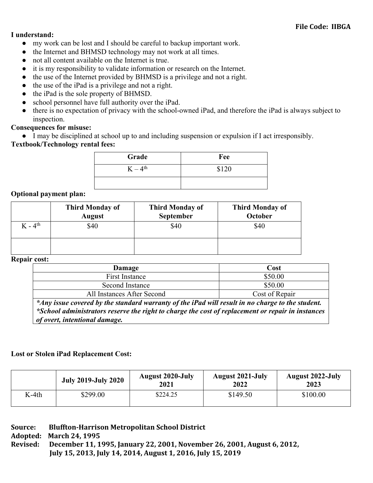#### **I understand:**

- my work can be lost and I should be careful to backup important work.
- the Internet and BHMSD technology may not work at all times.
- not all content available on the Internet is true.
- it is my responsibility to validate information or research on the Internet.
- the use of the Internet provided by BHMSD is a privilege and not a right.
- the use of the iPad is a privilege and not a right.
- the iPad is the sole property of BHMSD.
- school personnel have full authority over the iPad.
- there is no expectation of privacy with the school-owned iPad, and therefore the iPad is always subject to inspection.

# **Consequences for misuse:**

● I may be disciplined at school up to and including suspension or expulsion if I act irresponsibly.

# **Textbook/Technology rental fees:**

| Grade      | Fee   |
|------------|-------|
| $K-4^{th}$ | \$120 |
|            |       |

# **Optional payment plan:**

|           | <b>Third Monday of</b><br><b>August</b> | <b>Third Monday of</b><br>September | <b>Third Monday of</b><br>October |
|-----------|-----------------------------------------|-------------------------------------|-----------------------------------|
| $K - 4th$ | \$40                                    | \$40                                | \$40                              |
|           |                                         |                                     |                                   |

#### **Repair cost:**

| Damage                                                                                           | Cost           |  |
|--------------------------------------------------------------------------------------------------|----------------|--|
| First Instance                                                                                   | \$50.00        |  |
| Second Instance                                                                                  | \$50.00        |  |
| All Instances After Second                                                                       | Cost of Repair |  |
| * Any issue covered by the standard warranty of the iPad will result in no charge to the student |                |  |

*\*Any issue covered by the standard warranty of the iPad will result in no charge to the student. \*School administrators reserve the right to charge the cost of replacement or repair in instances of overt, intentional damage.*

# **Lost or Stolen iPad Replacement Cost:**

|       | <b>July 2019-July 2020</b> | <b>August 2020-July</b><br>2021 | <b>August 2021-July</b><br>2022 | <b>August 2022-July</b><br>2023 |
|-------|----------------------------|---------------------------------|---------------------------------|---------------------------------|
| K-4th | \$299.00                   | \$224.25                        | \$149.50                        | \$100.00                        |

| Source:  | <b>Bluffton-Harrison Metropolitan School District</b>                   |
|----------|-------------------------------------------------------------------------|
|          | Adopted: March 24, 1995                                                 |
| Revised: | December 11, 1995, January 22, 2001, November 26, 2001, August 6, 2012, |
|          | July 15, 2013, July 14, 2014, August 1, 2016, July 15, 2019             |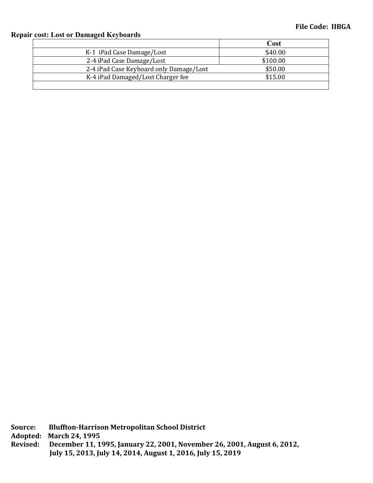# **Repair cost: Lost or Damaged Keyboards**

|                                         | Cost     |
|-----------------------------------------|----------|
| K-1 iPad Case Damage/Lost               | \$40.00  |
| 2-4 iPad Case Damage/Lost               | \$100.00 |
| 2-4 iPad Case Keyboard only Damage/Lost | \$50.00  |
| K-4 iPad Damaged/Lost Charger fee       | \$15.00  |
|                                         |          |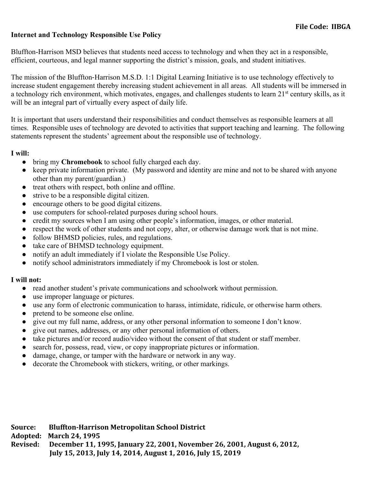# **Internet and Technology Responsible Use Policy**

Bluffton-Harrison MSD believes that students need access to technology and when they act in a responsible, efficient, courteous, and legal manner supporting the district's mission, goals, and student initiatives.

The mission of the Bluffton-Harrison M.S.D. 1:1 Digital Learning Initiative is to use technology effectively to increase student engagement thereby increasing student achievement in all areas. All students will be immersed in a technology rich environment, which motivates, engages, and challenges students to learn 21<sup>st</sup> century skills, as it will be an integral part of virtually every aspect of daily life.

It is important that users understand their responsibilities and conduct themselves as responsible learners at all times. Responsible uses of technology are devoted to activities that support teaching and learning. The following statements represent the students' agreement about the responsible use of technology.

#### **I will:**

- bring my **Chromebook** to school fully charged each day.
- keep private information private. (My password and identity are mine and not to be shared with anyone other than my parent/guardian.)
- treat others with respect, both online and offline.
- strive to be a responsible digital citizen.
- encourage others to be good digital citizens.
- use computers for school-related purposes during school hours.
- credit my sources when I am using other people's information, images, or other material.
- respect the work of other students and not copy, alter, or otherwise damage work that is not mine.
- follow BHMSD policies, rules, and regulations.
- take care of BHMSD technology equipment.
- notify an adult immediately if I violate the Responsible Use Policy.
- notify school administrators immediately if my Chromebook is lost or stolen.

#### **I will not:**

- read another student's private communications and schoolwork without permission.
- use improper language or pictures.
- use any form of electronic communication to harass, intimidate, ridicule, or otherwise harm others.
- pretend to be someone else online.
- give out my full name, address, or any other personal information to someone I don't know.
- give out names, addresses, or any other personal information of others.
- take pictures and/or record audio/video without the consent of that student or staff member.
- search for, possess, read, view, or copy inappropriate pictures or information.
- damage, change, or tamper with the hardware or network in any way.
- decorate the Chromebook with stickers, writing, or other markings.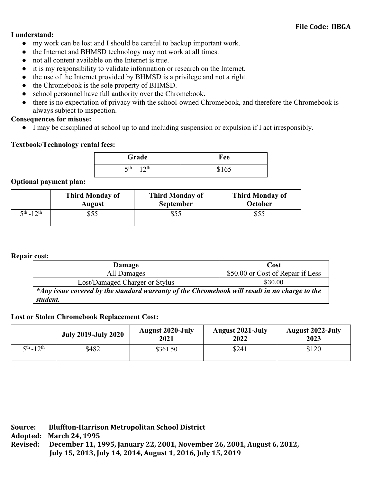#### **I understand:**

- my work can be lost and I should be careful to backup important work.
- the Internet and BHMSD technology may not work at all times.
- not all content available on the Internet is true.
- it is my responsibility to validate information or research on the Internet.
- the use of the Internet provided by BHMSD is a privilege and not a right.
- the Chromebook is the sole property of BHMSD.
- school personnel have full authority over the Chromebook.
- there is no expectation of privacy with the school-owned Chromebook, and therefore the Chromebook is always subject to inspection.

**Consequences for misuse:**

● I may be disciplined at school up to and including suspension or expulsion if I act irresponsibly.

# **Textbook/Technology rental fees:**

| Grade                            | Fee   |
|----------------------------------|-------|
| $5^{\text{th}} - 12^{\text{th}}$ | \$165 |

#### **Optional payment plan:**

|                    | <b>Third Monday of</b> | <b>Third Monday of</b> | <b>Third Monday of</b> |
|--------------------|------------------------|------------------------|------------------------|
|                    | <b>August</b>          | <b>September</b>       | October                |
| $5^{th} - 12^{th}$ | \$55                   | \$55                   | \$55                   |

#### **Repair cost:**

| Damage                                                                                        | Cost                              |  |  |
|-----------------------------------------------------------------------------------------------|-----------------------------------|--|--|
| All Damages                                                                                   | \$50.00 or Cost of Repair if Less |  |  |
| Lost/Damaged Charger or Stylus                                                                | \$30.00                           |  |  |
| *Any issue covered by the standard warranty of the Chromebook will result in no charge to the |                                   |  |  |
| student.                                                                                      |                                   |  |  |

# **Lost or Stolen Chromebook Replacement Cost:**

|                    | <b>July 2019-July 2020</b> | <b>August 2020-July</b><br>2021 | <b>August 2021-July</b><br>2022 | <b>August 2022-July</b><br>2023 |
|--------------------|----------------------------|---------------------------------|---------------------------------|---------------------------------|
| $5^{th} - 12^{th}$ | \$482                      | \$361.50                        | \$241                           | \$120                           |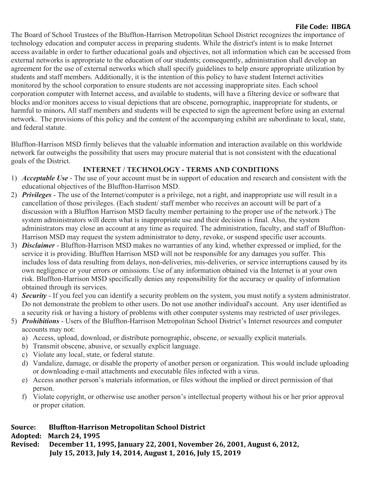# **File Code: IIBGA**

The Board of School Trustees of the Bluffton-Harrison Metropolitan School District recognizes the importance of technology education and computer access in preparing students. While the district's intent is to make Internet access available in order to further educational goals and objectives, not all information which can be accessed from external networks is appropriate to the education of our students; consequently, administration shall develop an agreement for the use of external networks which shall specify guidelines to help ensure appropriate utilization by students and staff members. Additionally, it is the intention of this policy to have student Internet activities monitored by the school corporation to ensure students are not accessing inappropriate sites. Each school corporation computer with Internet access, and available to students, will have a filtering device or software that blocks and/or monitors access to visual depictions that are obscene, pornographic, inappropriate for students, or harmful to minors**.** All staff members and students will be expected to sign the agreement before using an external network. The provisions of this policy and the content of the accompanying exhibit are subordinate to local, state, and federal statute.

Bluffton-Harrison MSD firmly believes that the valuable information and interaction available on this worldwide network far outweighs the possibility that users may procure material that is not consistent with the educational goals of the District.

# **INTERNET / TECHNOLOGY - TERMS AND CONDITIONS**

- 1) *Acceptable Use*  The use of your account must be in support of education and research and consistent with the educational objectives of the Bluffton-Harrison MSD.
- 2) *Privileges*  The use of the Internet/computer is a privilege, not a right, and inappropriate use will result in a cancellation of those privileges. (Each student/ staff member who receives an account will be part of a discussion with a Bluffton Harrison MSD faculty member pertaining to the proper use of the network.) The system administrators will deem what is inappropriate use and their decision is final. Also, the system administrators may close an account at any time as required. The administration, faculty, and staff of Bluffton-Harrison MSD may request the system administrator to deny, revoke, or suspend specific user accounts.
- 3) *Disclaimer*  Bluffton-Harrison MSD makes no warranties of any kind, whether expressed or implied, for the service it is providing. Bluffton Harrison MSD will not be responsible for any damages you suffer. This includes loss of data resulting from delays, non-deliveries, mis-deliveries, or service interruptions caused by its own negligence or your errors or omissions. Use of any information obtained via the Internet is at your own risk. Bluffton-Harrison MSD specifically denies any responsibility for the accuracy or quality of information obtained through its services.
- 4) *Security*  If you feel you can identify a security problem on the system, you must notify a system administrator. Do not demonstrate the problem to other users. Do not use another individual's account. Any user identified as a security risk or having a history of problems with other computer systems may restricted of user privileges.
- 5) *Prohibitions*  Users of the Bluffton-Harrison Metropolitan School District's Internet resources and computer accounts may not:
	- a) Access, upload, download, or distribute pornographic, obscene, or sexually explicit materials.
	- b) Transmit obscene, abusive, or sexually explicit language.
	- c) Violate any local, state, or federal statute.
	- d) Vandalize, damage, or disable the property of another person or organization. This would include uploading or downloading e-mail attachments and executable files infected with a virus.
	- e) Access another person's materials information, or files without the implied or direct permission of that person.
	- f) Violate copyright, or otherwise use another person's intellectual property without his or her prior approval or proper citation.